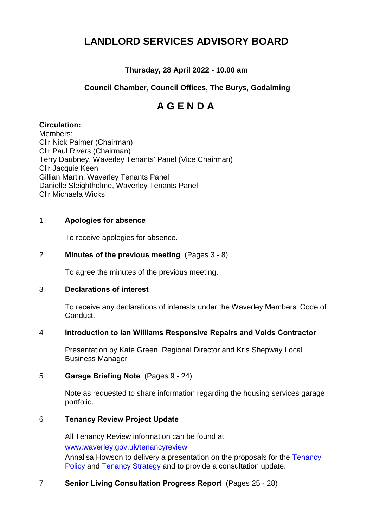# **LANDLORD SERVICES ADVISORY BOARD**

# **Thursday, 28 April 2022 - 10.00 am**

# **Council Chamber, Council Offices, The Burys, Godalming**

# **A G E N D A**

## **Circulation:**

Members: Cllr Nick Palmer (Chairman) Cllr Paul Rivers (Chairman) Terry Daubney, Waverley Tenants' Panel (Vice Chairman) Cllr Jacquie Keen Gillian Martin, Waverley Tenants Panel Danielle Sleightholme, Waverley Tenants Panel Cllr Michaela Wicks

## 1 **Apologies for absence**

To receive apologies for absence.

## 2 **Minutes of the previous meeting** (Pages 3 - 8)

To agree the minutes of the previous meeting.

#### 3 **Declarations of interest**

To receive any declarations of interests under the Waverley Members' Code of Conduct.

#### 4 **Introduction to Ian Williams Responsive Repairs and Voids Contractor**

Presentation by Kate Green, Regional Director and Kris Shepway Local Business Manager

#### 5 **Garage Briefing Note** (Pages 9 - 24)

Note as requested to share information regarding the housing services garage portfolio.

#### 6 **Tenancy Review Project Update**

All Tenancy Review information can be found at [www.waverley.gov.uk/tenancyreview](http://www.waverley.gov.uk/tenancyreview) Annalisa Howson to delivery a presentation on the proposals for the [Tenancy](https://www.waverley.gov.uk/Portals/0/Documents/services/housing/council-housing/Consultation/consultation%20copy%20Tenancy%20Policy_2022%20review.doc.pdf?ver=4-JSfwfY5KjkV2pPrfmKXg%3d%3d)  [Policy](https://www.waverley.gov.uk/Portals/0/Documents/services/housing/council-housing/Consultation/consultation%20copy%20Tenancy%20Policy_2022%20review.doc.pdf?ver=4-JSfwfY5KjkV2pPrfmKXg%3d%3d) and [Tenancy Strategy](https://www.waverley.gov.uk/Portals/0/Documents/services/housing/council-housing/Consultation/Consultation%20Copy%20Tenancy%20Strategy-2022%20review.doc.pdf?ver=s-PsO9-TRnD5tnGJ3xppmQ%3d%3d) and to provide a consultation update.

#### 7 **Senior Living Consultation Progress Report** (Pages 25 - 28)